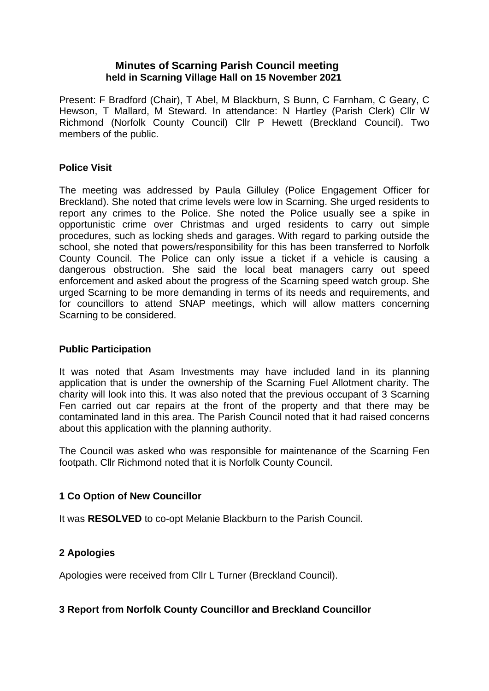## **Minutes of Scarning Parish Council meeting held in Scarning Village Hall on 15 November 2021**

Present: F Bradford (Chair), T Abel, M Blackburn, S Bunn, C Farnham, C Geary, C Hewson, T Mallard, M Steward. In attendance: N Hartley (Parish Clerk) Cllr W Richmond (Norfolk County Council) Cllr P Hewett (Breckland Council). Two members of the public.

## **Police Visit**

The meeting was addressed by Paula Gilluley (Police Engagement Officer for Breckland). She noted that crime levels were low in Scarning. She urged residents to report any crimes to the Police. She noted the Police usually see a spike in opportunistic crime over Christmas and urged residents to carry out simple procedures, such as locking sheds and garages. With regard to parking outside the school, she noted that powers/responsibility for this has been transferred to Norfolk County Council. The Police can only issue a ticket if a vehicle is causing a dangerous obstruction. She said the local beat managers carry out speed enforcement and asked about the progress of the Scarning speed watch group. She urged Scarning to be more demanding in terms of its needs and requirements, and for councillors to attend SNAP meetings, which will allow matters concerning Scarning to be considered.

## **Public Participation**

It was noted that Asam Investments may have included land in its planning application that is under the ownership of the Scarning Fuel Allotment charity. The charity will look into this. It was also noted that the previous occupant of 3 Scarning Fen carried out car repairs at the front of the property and that there may be contaminated land in this area. The Parish Council noted that it had raised concerns about this application with the planning authority.

The Council was asked who was responsible for maintenance of the Scarning Fen footpath. Cllr Richmond noted that it is Norfolk County Council.

## **1 Co Option of New Councillor**

It was **RESOLVED** to co-opt Melanie Blackburn to the Parish Council.

## **2 Apologies**

Apologies were received from Cllr L Turner (Breckland Council).

## **3 Report from Norfolk County Councillor and Breckland Councillor**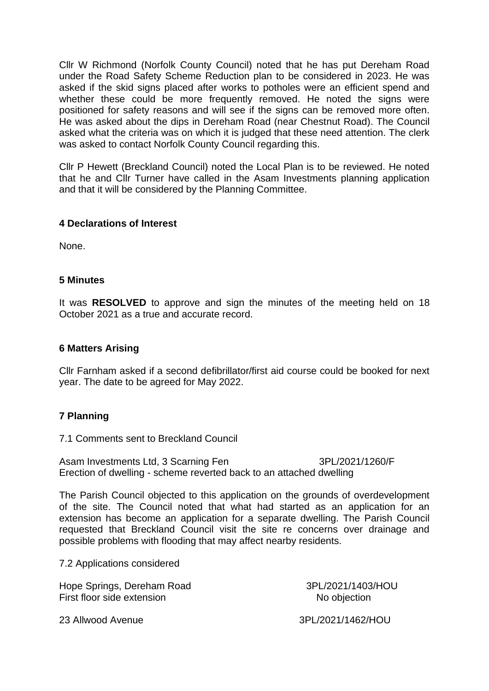Cllr W Richmond (Norfolk County Council) noted that he has put Dereham Road under the Road Safety Scheme Reduction plan to be considered in 2023. He was asked if the skid signs placed after works to potholes were an efficient spend and whether these could be more frequently removed. He noted the signs were positioned for safety reasons and will see if the signs can be removed more often. He was asked about the dips in Dereham Road (near Chestnut Road). The Council asked what the criteria was on which it is judged that these need attention. The clerk was asked to contact Norfolk County Council regarding this.

Cllr P Hewett (Breckland Council) noted the Local Plan is to be reviewed. He noted that he and Cllr Turner have called in the Asam Investments planning application and that it will be considered by the Planning Committee.

#### **4 Declarations of Interest**

None.

#### **5 Minutes**

It was **RESOLVED** to approve and sign the minutes of the meeting held on 18 October 2021 as a true and accurate record.

#### **6 Matters Arising**

Cllr Farnham asked if a second defibrillator/first aid course could be booked for next year. The date to be agreed for May 2022.

## **7 Planning**

7.1 Comments sent to Breckland Council

Asam Investments Ltd, 3 Scarning Fen 3PL/2021/1260/F Erection of dwelling - scheme reverted back to an attached dwelling

The Parish Council objected to this application on the grounds of overdevelopment of the site. The Council noted that what had started as an application for an extension has become an application for a separate dwelling. The Parish Council requested that Breckland Council visit the site re concerns over drainage and possible problems with flooding that may affect nearby residents.

7.2 Applications considered

Hope Springs, Dereham Road 3PL/2021/1403/HOU First floor side extension No objection

23 Allwood Avenue 3PL/2021/1462/HOU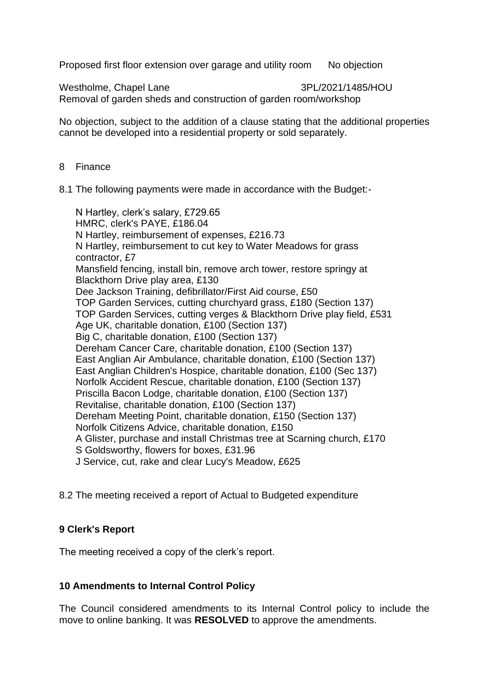Proposed first floor extension over garage and utility room No objection

Westholme, Chapel Lane 3PL/2021/1485/HOU Removal of garden sheds and construction of garden room/workshop

No objection, subject to the addition of a clause stating that the additional properties cannot be developed into a residential property or sold separately.

- 8 Finance
- 8.1 The following payments were made in accordance with the Budget:-

 N Hartley, clerk's salary, £729.65 HMRC, clerk's PAYE, £186.04 N Hartley, reimbursement of expenses, £216.73 N Hartley, reimbursement to cut key to Water Meadows for grass contractor, £7 Mansfield fencing, install bin, remove arch tower, restore springy at Blackthorn Drive play area, £130 Dee Jackson Training, defibrillator/First Aid course, £50 TOP Garden Services, cutting churchyard grass, £180 (Section 137) TOP Garden Services, cutting verges & Blackthorn Drive play field, £531 Age UK, charitable donation, £100 (Section 137) Big C, charitable donation, £100 (Section 137) Dereham Cancer Care, charitable donation, £100 (Section 137) East Anglian Air Ambulance, charitable donation, £100 (Section 137) East Anglian Children's Hospice, charitable donation, £100 (Sec 137) Norfolk Accident Rescue, charitable donation, £100 (Section 137) Priscilla Bacon Lodge, charitable donation, £100 (Section 137) Revitalise, charitable donation, £100 (Section 137) Dereham Meeting Point, charitable donation, £150 (Section 137) Norfolk Citizens Advice, charitable donation, £150 A Glister, purchase and install Christmas tree at Scarning church, £170 S Goldsworthy, flowers for boxes, £31.96 J Service, cut, rake and clear Lucy's Meadow, £625

8.2 The meeting received a report of Actual to Budgeted expenditure

## **9 Clerk's Report**

The meeting received a copy of the clerk's report.

## **10 Amendments to Internal Control Policy**

The Council considered amendments to its Internal Control policy to include the move to online banking. It was **RESOLVED** to approve the amendments.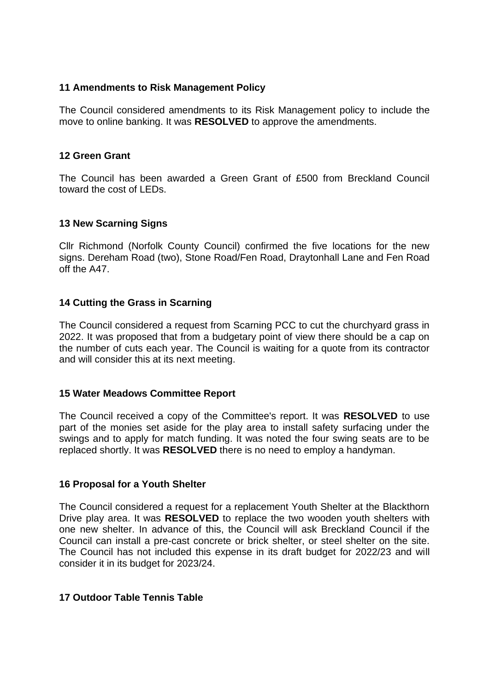### **11 Amendments to Risk Management Policy**

The Council considered amendments to its Risk Management policy to include the move to online banking. It was **RESOLVED** to approve the amendments.

#### **12 Green Grant**

The Council has been awarded a Green Grant of £500 from Breckland Council toward the cost of LEDs.

#### **13 New Scarning Signs**

Cllr Richmond (Norfolk County Council) confirmed the five locations for the new signs. Dereham Road (two), Stone Road/Fen Road, Draytonhall Lane and Fen Road off the A47.

## **14 Cutting the Grass in Scarning**

The Council considered a request from Scarning PCC to cut the churchyard grass in 2022. It was proposed that from a budgetary point of view there should be a cap on the number of cuts each year. The Council is waiting for a quote from its contractor and will consider this at its next meeting.

#### **15 Water Meadows Committee Report**

The Council received a copy of the Committee's report. It was **RESOLVED** to use part of the monies set aside for the play area to install safety surfacing under the swings and to apply for match funding. It was noted the four swing seats are to be replaced shortly. It was **RESOLVED** there is no need to employ a handyman.

#### **16 Proposal for a Youth Shelter**

The Council considered a request for a replacement Youth Shelter at the Blackthorn Drive play area. It was **RESOLVED** to replace the two wooden youth shelters with one new shelter. In advance of this, the Council will ask Breckland Council if the Council can install a pre-cast concrete or brick shelter, or steel shelter on the site. The Council has not included this expense in its draft budget for 2022/23 and will consider it in its budget for 2023/24.

## **17 Outdoor Table Tennis Table**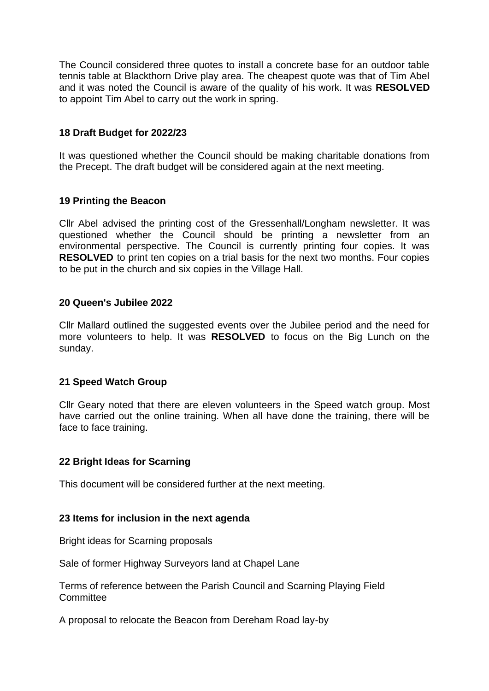The Council considered three quotes to install a concrete base for an outdoor table tennis table at Blackthorn Drive play area. The cheapest quote was that of Tim Abel and it was noted the Council is aware of the quality of his work. It was **RESOLVED**  to appoint Tim Abel to carry out the work in spring.

## **18 Draft Budget for 2022/23**

It was questioned whether the Council should be making charitable donations from the Precept. The draft budget will be considered again at the next meeting.

## **19 Printing the Beacon**

Cllr Abel advised the printing cost of the Gressenhall/Longham newsletter. It was questioned whether the Council should be printing a newsletter from an environmental perspective. The Council is currently printing four copies. It was **RESOLVED** to print ten copies on a trial basis for the next two months. Four copies to be put in the church and six copies in the Village Hall.

#### **20 Queen's Jubilee 2022**

Cllr Mallard outlined the suggested events over the Jubilee period and the need for more volunteers to help. It was **RESOLVED** to focus on the Big Lunch on the sunday.

## **21 Speed Watch Group**

Cllr Geary noted that there are eleven volunteers in the Speed watch group. Most have carried out the online training. When all have done the training, there will be face to face training.

#### **22 Bright Ideas for Scarning**

This document will be considered further at the next meeting.

#### **23 Items for inclusion in the next agenda**

Bright ideas for Scarning proposals

Sale of former Highway Surveyors land at Chapel Lane

Terms of reference between the Parish Council and Scarning Playing Field **Committee** 

A proposal to relocate the Beacon from Dereham Road lay-by